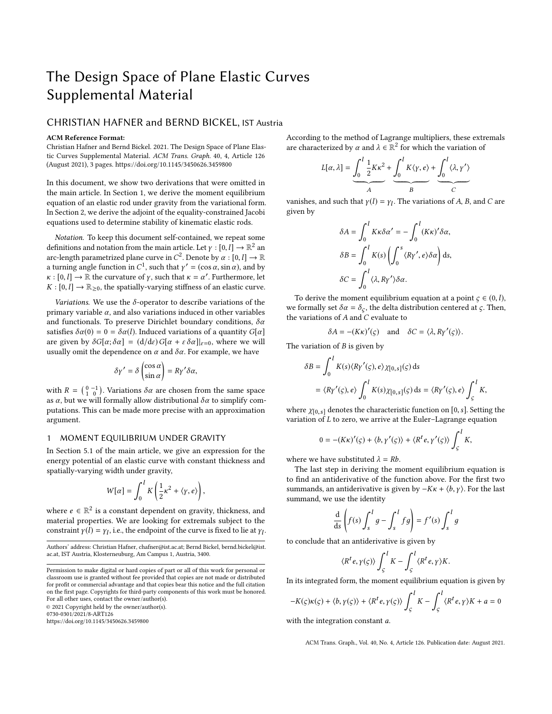# The Design Space of Plane Elastic Curves Supplemental Material

# CHRISTIAN HAFNER and BERND BICKEL, IST Austria

#### ACM Reference Format:

Christian Hafner and Bernd Bickel. 2021. The Design Space of Plane Elastic Curves Supplemental Material. ACM Trans. Graph. 40, 4, Article 126 (August 2021), [3](#page-2-0) pages.<https://doi.org/10.1145/3450626.3459800>

In this document, we show two derivations that were omitted in the main article. In Section [1,](#page-0-0) we derive the moment equilibrium equation of an elastic rod under gravity from the variational form. In Section [2,](#page-1-0) we derive the adjoint of the equality-constrained Jacobi equations used to determine stability of kinematic elastic rods.

Notation. To keep this document self-contained, we repeat some definitions and notation from the main article. Let  $\gamma : [0, l] \to \mathbb{R}^2$  and  $\gamma$  arc-length parametrized plane curve in  $C^2$ . Denote by  $\alpha : [0, l] \to \mathbb{R}$ arc-length parametrized plane curve in  $C^2$ . Denote by  $\alpha : [0, l] \to \mathbb{R}$ <br>a turning angle function in  $C^1$ , such that  $\nu' = (\cos \alpha \sin \alpha)$  and by a turning angle function in  $C^1$ , such that  $\gamma' = (\cos \alpha, \sin \alpha)$ , and by  $\gamma : [0, 1] \rightarrow \mathbb{R}$  the curvature of  $\gamma$  such that  $\gamma = \alpha'$ . Eurthermore, let  $\kappa : [0, l] \to \mathbb{R}$  the curvature of  $\gamma$ , such that  $\kappa = \alpha'$ . Furthermore, let  $K : [0, l] \to \mathbb{R}$ , a the spatially-varying stiffness of an elastic curve  $K : [0, l] \rightarrow \mathbb{R}_{\geq 0}$ , the spatially-varying stiffness of an elastic curve.

Variations. We use the  $\delta$ -operator to describe variations of the primary variable  $\alpha$ , and also variations induced in other variables and functionals. To preserve Dirichlet boundary conditions,  $\delta \alpha$ satisfies  $\delta \alpha(0) = 0 = \delta \alpha(l)$ . Induced variations of a quantity  $G[\alpha]$ are given by  $\delta G[\alpha; \delta \alpha] = (d/d\varepsilon) G[\alpha + \varepsilon \delta \alpha]|_{\varepsilon=0}$ , where we will usually omit the dependence on  $\alpha$  and  $\delta \alpha$ . For example, we have

$$
\delta \gamma' = \delta \begin{pmatrix} \cos \alpha \\ \sin \alpha \end{pmatrix} = R \gamma' \delta \alpha,
$$

with  $R = \begin{pmatrix} 0 & -1 \\ 1 & 0 \end{pmatrix}$ . Variations  $\delta \alpha$  are chosen from the same space as  $\alpha$ , but we will formally allow distributional  $\delta \alpha$  to simplify computations. This can be made more precise with an approximation argument.

#### <span id="page-0-0"></span>1 MOMENT EQUILIBRIUM UNDER GRAVITY

In Section 5.1 of the main article, we give an expression for the energy potential of an elastic curve with constant thickness and spatially-varying width under gravity,

$$
W[\alpha] = \int_0^l K\left(\frac{1}{2}\kappa^2 + \langle \gamma, e \rangle\right),\,
$$

where  $e \in \mathbb{R}^2$  is a constant dependent on gravity, thickness, and material properties. We are looking for extremals subject to the constraint  $\gamma(l) = \gamma_l$ , i.e., the endpoint of the curve is fixed to lie at  $\gamma_l$ .

© 2021 Copyright held by the owner/author(s).

<https://doi.org/10.1145/3450626.3459800>

According to the method of Lagrange multipliers, these extremals are characterized by  $\alpha$  and  $\lambda \in \mathbb{R}^2$  for which the variation of

$$
L[\alpha, \lambda] = \underbrace{\int_0^l \frac{1}{2} K \kappa^2}_{A} + \underbrace{\int_0^l K(\gamma, e)}_{B} + \underbrace{\int_0^l \langle \lambda, \gamma' \rangle}_{C}
$$

vanishes, and such that  $\gamma(l) = \gamma_l$ . The variations of A, B, and C are given by

$$
\delta A = \int_0^l K\kappa \delta \alpha' = -\int_0^l (K\kappa)' \delta \alpha,
$$
  

$$
\delta B = \int_0^l K(s) \left( \int_0^s \langle R\gamma', e \rangle \delta \alpha \right) ds,
$$
  

$$
\delta C = \int_0^l \langle \lambda, R\gamma' \rangle \delta \alpha.
$$

To derive the moment equilibrium equation at a point  $\varsigma \in (0, l)$ , we formally set  $\delta \alpha = \delta_{\varsigma}$ , the delta distribution centered at  $\varsigma$ . Then, the variations of  $A$  and  $C$  evaluate to

$$
\delta A = -(K\kappa)'(\varsigma) \quad \text{and} \quad \delta C = \langle \lambda, R\gamma'(\varsigma) \rangle.
$$

The variation of  $B$  is given by

$$
\delta B = \int_0^l K(s) \langle R\gamma'(s), e \rangle \chi_{[0, s]}(s) ds
$$
  
=  $\langle R\gamma'(s), e \rangle \int_0^l K(s) \chi_{[0, s]}(s) ds = \langle R\gamma'(s), e \rangle \int_s^l K$ ,

where  $\chi_{[0,s]}$  denotes the characteristic function on [0, s]. Setting the variation of  $L$  to zero, we arrive at the Euler–Lagrange equation

$$
0 = -(K\kappa)'(\varsigma) + \langle b, \gamma'(\varsigma) \rangle + \langle R^t e, \gamma'(\varsigma) \rangle \int_{\varsigma}^{l} K,
$$

where we have substituted  $\lambda = Rb$ .

The last step in deriving the moment equilibrium equation is to find an antiderivative of the function above. For the first two summands, an antiderivative is given by  $-K\kappa + \langle b, \gamma \rangle$ . For the last summand, we use the identity

$$
\frac{\mathrm{d}}{\mathrm{d}s} \left( f(s) \int_s^l g - \int_s^l f g \right) = f'(s) \int_s^l g
$$

to conclude that an antiderivative is given by

$$
\langle R^t e, \gamma(\varsigma) \rangle \int_{\varsigma}^{l} K - \int_{\varsigma}^{l} \langle R^t e, \gamma \rangle K.
$$

In its integrated form, the moment equilibrium equation is given by

$$
-K(\varsigma)\kappa(\varsigma) + \langle b, \gamma(\varsigma) \rangle + \langle R^t e, \gamma(\varsigma) \rangle \int_{\varsigma}^{l} K - \int_{\varsigma}^{l} \langle R^t e, \gamma \rangle K + a = 0
$$

with the integration constant a.

ACM Trans. Graph., Vol. 40, No. 4, Article 126. Publication date: August 2021.

Authors' address: Christian Hafner, chafner@ist.ac.at; Bernd Bickel, bernd.bickel@ist. ac.at, IST Austria, Klosterneuburg, Am Campus 1, Austria, 3400.

Permission to make digital or hard copies of part or all of this work for personal or classroom use is granted without fee provided that copies are not made or distributed for profit or commercial advantage and that copies bear this notice and the full citation on the first page. Copyrights for third-party components of this work must be honored. For all other uses, contact the owner/author(s).

<sup>0730-0301/2021/8-</sup>ART126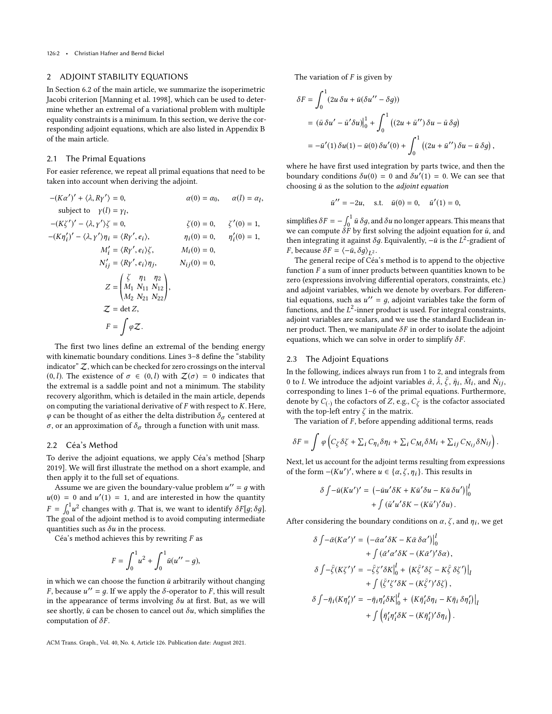## <span id="page-1-0"></span>2 ADJOINT STABILITY EQUATIONS

In Section 6.2 of the main article, we summarize the isoperimetric Jacobi criterion [\[Manning et al.](#page-2-1) [1998\]](#page-2-1), which can be used to determine whether an extremal of a variational problem with multiple equality constraints is a minimum. In this section, we derive the corresponding adjoint equations, which are also listed in Appendix B of the main article.

### 2.1 The Primal Equations

For easier reference, we repeat all primal equations that need to be taken into account when deriving the adjoint.

$$
-(Ka')' + \langle \lambda, R\gamma' \rangle = 0,
$$
  
\nsubject to  $\gamma(l) = \gamma_l$ ,  
\n
$$
-(K\zeta')' - \langle \lambda, \gamma' \rangle \zeta = 0,
$$
  
\n
$$
-(K\eta_i')' - \langle \lambda, \gamma' \rangle \eta_i = \langle R\gamma', e_i \rangle,
$$
  
\n
$$
\eta_i(0) = 0,
$$
  
\n
$$
\zeta'(0) = 1,
$$
  
\n
$$
M'_i = \langle R\gamma', e_i \rangle \zeta,
$$
  
\n
$$
M_i(0) = 0,
$$
  
\n
$$
N'_{ij} = \langle R\gamma', e_i \rangle \eta_j,
$$
  
\n
$$
N_{ij}(0) = 0,
$$
  
\n
$$
Z = \begin{pmatrix} \zeta & \eta_1 & \eta_2 \\ M_1 & N_{11} & N_{12} \\ M_2 & N_{21} & N_{22} \end{pmatrix},
$$
  
\n
$$
Z = \det Z,
$$
  
\n
$$
F = \int \varphi Z.
$$

The first two lines define an extremal of the bending energy with kinematic boundary conditions. Lines 3–8 define the "stability indicator"  $Z$ , which can be checked for zero crossings on the interval (0, *l*). The existence of  $\sigma \in (0, l)$  with  $\mathcal{Z}(\sigma) = 0$  indicates that the extremal is a saddle point and not a minimum. The stability recovery algorithm, which is detailed in the main article, depends on computing the variational derivative of  $F$  with respect to  $K$ . Here,  $\varphi$  can be thought of as either the delta distribution  $\delta_{\sigma}$  centered at σ, or an approximation of  $\delta_{\sigma}$  through a function with unit mass.

## 2.2 Céa's Method

To derive the adjoint equations, we apply Céa's method [\[Sharp](#page-2-2) [2019\]](#page-2-2). We will first illustrate the method on a short example, and then apply it to the full set of equations.

Assume we are given the boundary-value problem  $u'' = g$  with  $u(0) = 0$  and  $u'(1) = 1$ , and are interested in how the quantity  $F = \int_0^1 u^2$  changes with g. That is, we want to identify  $\delta F[g; \delta g]$ . The goal of the adjoint method is to avoid computing intermediate quantities such as  $\delta u$  in the process.

Céa's method achieves this by rewriting  $F$  as

$$
F = \int_0^1 u^2 + \int_0^1 \bar{u}(u'' - g),
$$

in which we can choose the function  $\bar{u}$  arbitrarily without changing *F*, because  $u'' = g$ . If we apply the  $\delta$ -operator to *F*, this will result in the appearance of terms involving  $\delta u$  at first. But, as we will see shortly,  $\bar{u}$  can be chosen to cancel out  $\delta u$ , which simplifies the computation of  $\delta F$ .

ACM Trans. Graph., Vol. 40, No. 4, Article 126. Publication date: August 2021.

The variation of  $F$  is given by

$$
\delta F = \int_0^1 (2u \, \delta u + \bar{u} (\delta u'' - \delta g))
$$
  
=  $(\bar{u} \, \delta u' - \bar{u}' \delta u)|_0^1 + \int_0^1 ((2u + \bar{u}'') \, \delta u - \bar{u} \, \delta g)$   
=  $-\bar{u}'(1) \delta u(1) - \bar{u}(0) \delta u'(0) + \int_0^1 ((2u + \bar{u}'') \, \delta u - \bar{u} \, \delta g),$ 

where he have first used integration by parts twice, and then the boundary conditions  $\delta u(0) = 0$  and  $\delta u'(1) = 0$ . We can see that choosing  $\bar{u}$  as the solution to the *adjoint equation* 

$$
\bar{u}'' = -2u
$$
, s.t.  $\bar{u}(0) = 0$ ,  $\bar{u}'(1) = 0$ ,

simplifies  $\delta F = -\int_0^1 \bar{u} \, \delta g$ , and  $\delta u$  no longer appears. This means that Supplies  $\delta t = \int_0^{\pi} u \, \delta y$ , and  $\delta u$  ho longer appears. This includes that we can compute  $\delta F$  by first solving the adjoint equation for  $\bar{u}$ , and then integrating it against  $\delta g$ . Equivalently,  $-\bar{u}$  is the  $L^2$ -gradient of F, because  $\delta F = \langle -\bar{u}, \delta g \rangle_{L^2}$ .<br>The general recine of Céa

The general recipe of Céa's method is to append to the objective function  $F$  a sum of inner products between quantities known to be zero (expressions involving differential operators, constraints, etc.) and adjoint variables, which we denote by overbars. For differential equations, such as  $u'' = g$ , adjoint variables take the form of functions, and the  $L^2$ -inner product is used. For integral constraints, adjoint variables are scalars, and we use the standard Euclidean inner product. Then, we manipulate  $\delta F$  in order to isolate the adjoint equations, which we can solve in order to simplify  $\delta F$ .

#### 2.3 The Adjoint Equations

In the following, indices always run from 1 to 2, and integrals from 0 to *l*. We introduce the adjoint variables  $\bar{\alpha}$ ,  $\bar{\lambda}$ ,  $\bar{\zeta}$ ,  $\bar{\eta}_i$ ,  $\bar{M}_i$ , and  $\bar{N}_{ij}$ , corresponding to lines 1–6 of the primal equations. Furthermore, denote by  $C_{(\cdot)}$  the cofactors of  $Z$ , e.g.,  $C_{\zeta}$  is the cofactor associated with the top-left entry  $\zeta$  in the matrix.

The variation of  $F$ , before appending additional terms, reads

$$
\delta F = \int \varphi \left( C_{\zeta} \delta \zeta + \sum_i C_{\eta_i} \delta \eta_i + \sum_i C_{M_i} \delta M_i + \sum_{ij} C_{N_{ij}} \delta N_{ij} \right).
$$

Next, let us account for the adjoint terms resulting from expressions of the form  $-(Ku')'$ , where  $u \in {\alpha, \zeta, \eta_i}$ . This results in

$$
\delta \int -\bar{u}(Ku')' = \left(-\bar{u}u'\delta K + K\bar{u}'\delta u - K\bar{u}\delta u'\right)\Big|_0^l
$$

$$
+ \int \left(\bar{u}'u'\delta K - (K\bar{u}')'\delta u\right).
$$

After considering the boundary conditions on  $\alpha$ ,  $\zeta$ , and  $\eta_i$ , we get

$$
\begin{split} \delta \int & -\bar{\alpha}(K\alpha')' = \left(-\bar{\alpha}\alpha'\delta K - K\bar{\alpha}\,\delta\alpha'\right)\Big|_0^l \\ & + \int \left(\bar{\alpha}'\alpha'\delta K - (K\bar{\alpha}')'\delta\alpha\right), \\ \delta \int & -\bar{\zeta}(K\zeta')' = -\bar{\zeta}\zeta'\delta K\Big|_0^l + \left(K\bar{\zeta}'\delta\zeta - K\bar{\zeta}\,\delta\zeta'\right)\Big|_l \\ & + \int \left(\bar{\zeta}'\zeta'\delta K - (K\bar{\zeta}')'\delta\zeta\right), \\ \delta \int & -\bar{\eta}_i(K\eta_i')' = -\bar{\eta}_i\eta_i'\delta K\Big|_0^l + \left(K\bar{\eta}_i'\delta\eta_i - K\bar{\eta}_i\,\delta\eta_i'\right)\Big|_l \\ & + \int \left(\bar{\eta}_i'\eta_i'\delta K - (K\bar{\eta}_i')'\delta\eta_i\right). \end{split}
$$